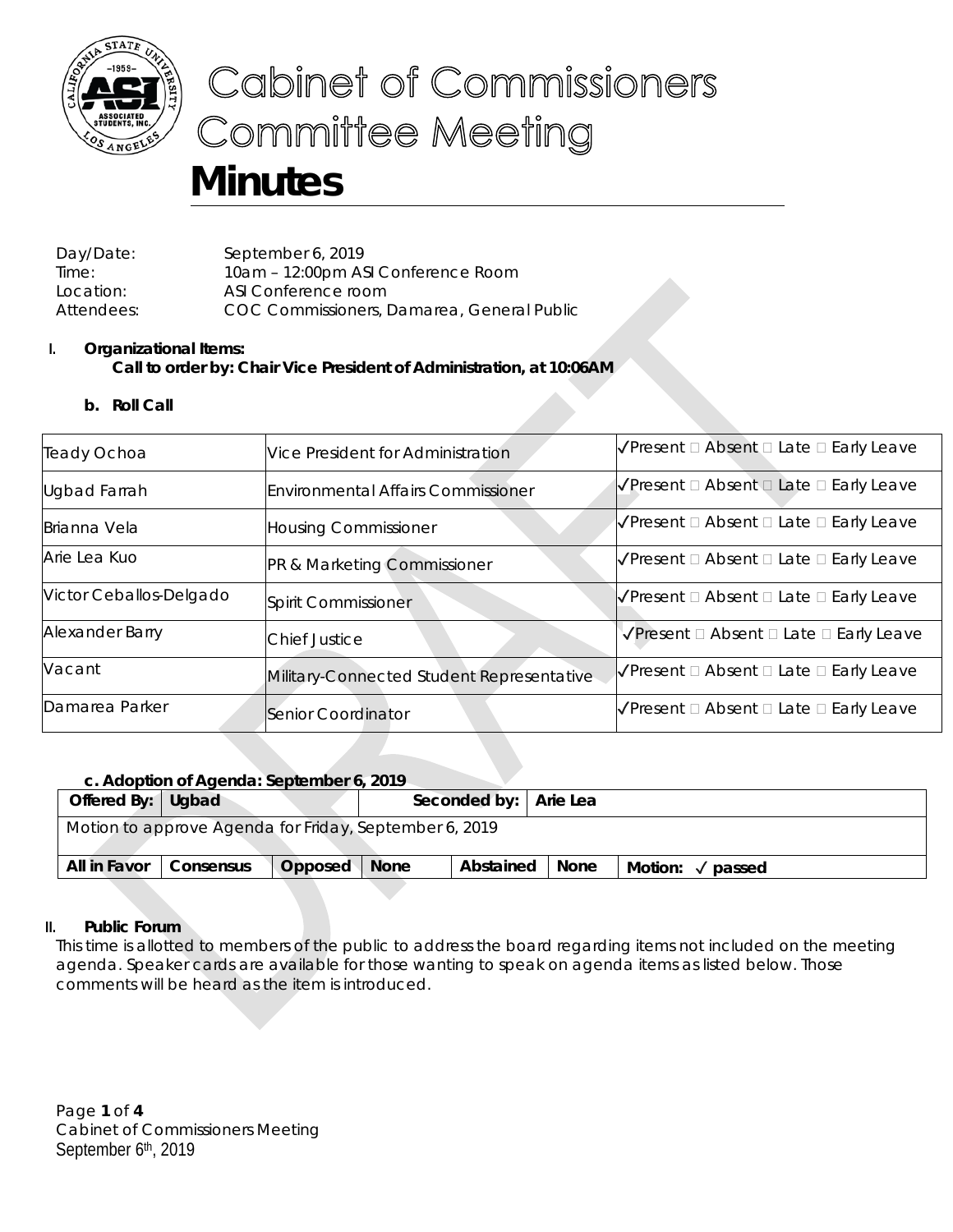

# Cabinet of Commissioners **Committee Meeting**

# **Minutes**

Day/Date: September 6, 2019 Time: 10am – 12:00pm ASI Conference Room Location: ASI Conference room Attendees: COC Commissioners, Damarea, General Public

# **I. Organizational Items: Call to order by: Chair Vice President of Administration, at 10:06AM**

**b. Roll Call**

| Teady Ochoa                          | Vice President for Administration         | $\sqrt{\frac{P}{P}}$ Present $\Box$ Absent $\Box$ Late $\Box$ Early Leave |  |  |
|--------------------------------------|-------------------------------------------|---------------------------------------------------------------------------|--|--|
| <b>Ugbad Farrah</b>                  | <b>Environmental Affairs Commissioner</b> | $\sqrt{\frac{P}{P}}$ Present $\Box$ Absent $\Box$ Late $\Box$ Early Leave |  |  |
| Brianna Vela                         | <b>Housing Commissioner</b>               | $\sqrt{\frac{P}{P}}$ Present $\Box$ Absent $\Box$ Late $\Box$ Early Leave |  |  |
| Arie Lea Kuo                         | PR & Marketing Commissioner               | $\sqrt{\frac{P}{P}}$ Present $\Box$ Absent $\Box$ Late $\Box$ Early Leave |  |  |
| Victor Ceballos-Delgado              | Spirit Commissioner                       | $\sqrt{\frac{1}{2}}$ Present $\Box$ Absent $\Box$ Late $\Box$ Early Leave |  |  |
| Alexander Barry                      | <b>Chief Justice</b>                      | √Present □ Absent □ Late □ Early Leave                                    |  |  |
| Vacant                               | Military-Connected Student Representative | $\sqrt{\frac{1}{2}}$ Present $\Box$ Absent $\Box$ Late $\Box$ Early Leave |  |  |
| Damarea Parker<br>Senior Coordinator |                                           | $\sqrt{\frac{P}{P}}$ Present $\Box$ Absent $\Box$ Late $\Box$ Early Leave |  |  |

# **c. Adoption of Agenda: September 6, 2019**

| Offered By: Ugbad                                      |           |         |             | Seconded by:   Arie Lea |      |                   |  |  |  |
|--------------------------------------------------------|-----------|---------|-------------|-------------------------|------|-------------------|--|--|--|
| Motion to approve Agenda for Friday, September 6, 2019 |           |         |             |                         |      |                   |  |  |  |
| All in Favor                                           | Consensus | Opposed | <b>None</b> | Abstained               | None | Motion:<br>passed |  |  |  |

# **II. Public Forum**

This time is allotted to members of the public to address the board regarding items not included on the meeting agenda. Speaker cards are available for those wanting to speak on agenda items as listed below. Those comments will be heard as the item is introduced.

Page **1** of **4** Cabinet of Commissioners Meeting September 6<sup>th</sup>, 2019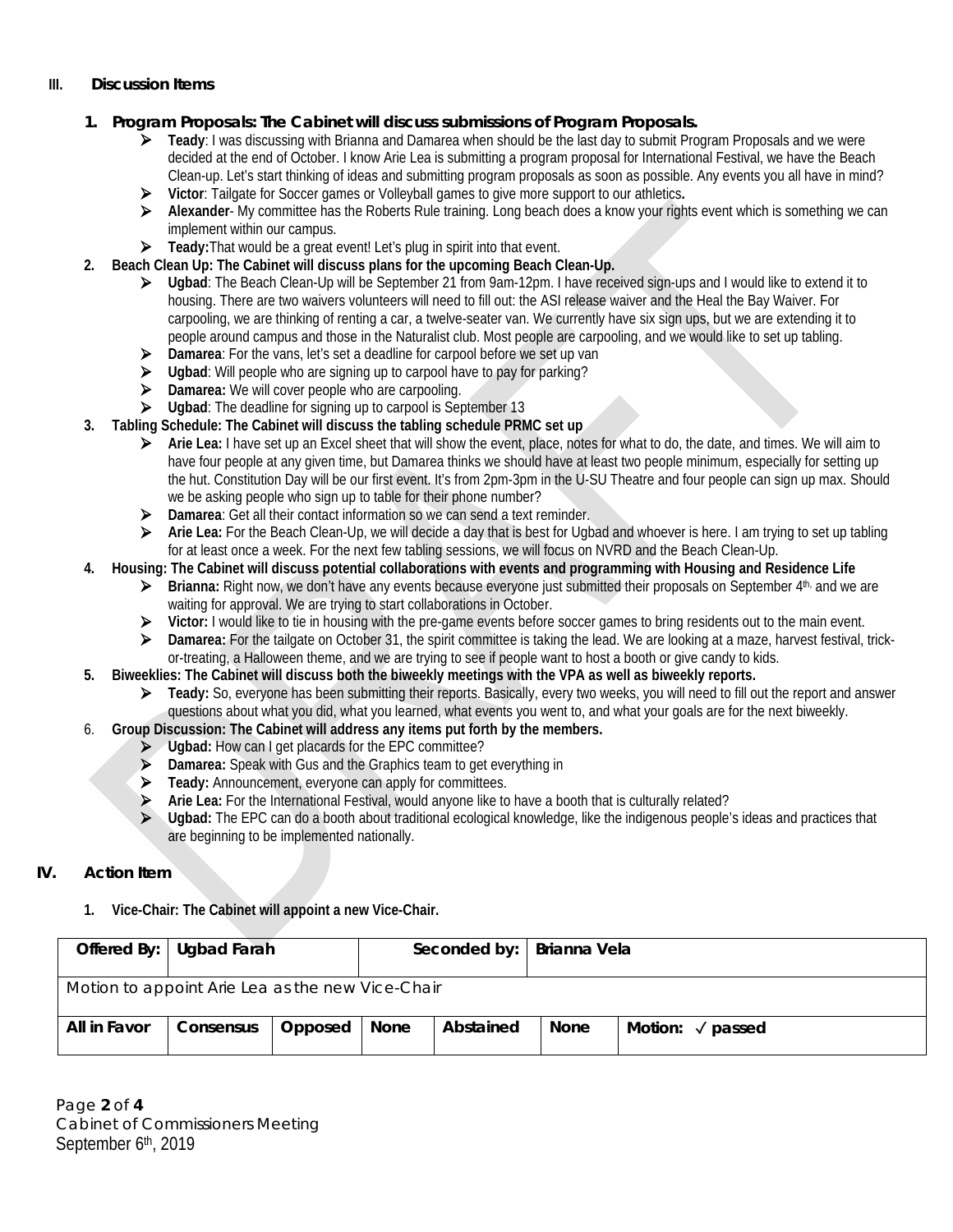### **III. Discussion Items**

### **1. Program Proposals: The Cabinet will discuss submissions of Program Proposals.**

- **Teady**: I was discussing with Brianna and Damarea when should be the last day to submit Program Proposals and we were decided at the end of October. I know Arie Lea is submitting a program proposal for International Festival, we have the Beach Clean-up. Let's start thinking of ideas and submitting program proposals as soon as possible. Any events you all have in mind?
- **Victor**: Tailgate for Soccer games or Volleyball games to give more support to our athletics**.**
- **Alexander** My committee has the Roberts Rule training. Long beach does a know your rights event which is something we can implement within our campus.
- **Teady:** That would be a great event! Let's plug in spirit into that event.
- **2. Beach Clean Up: The Cabinet will discuss plans for the upcoming Beach Clean-Up.**
	- **Ugbad**: The Beach Clean-Up will be September 21 from 9am-12pm. I have received sign-ups and I would like to extend it to housing. There are two waivers volunteers will need to fill out: the ASI release waiver and the Heal the Bay Waiver. For carpooling, we are thinking of renting a car, a twelve-seater van. We currently have six sign ups, but we are extending it to people around campus and those in the Naturalist club. Most people are carpooling, and we would like to set up tabling.
	- **Damarea**: For the vans, let's set a deadline for carpool before we set up van
	- **Ugbad**: Will people who are signing up to carpool have to pay for parking?
	- **Damarea:** We will cover people who are carpooling.
	- **Ugbad**: The deadline for signing up to carpool is September 13
- **3. Tabling Schedule: The Cabinet will discuss the tabling schedule PRMC set up**
	- **Arie Lea:** I have set up an Excel sheet that will show the event, place, notes for what to do, the date, and times. We will aim to have four people at any given time, but Damarea thinks we should have at least two people minimum, especially for setting up the hut. Constitution Day will be our first event. It's from 2pm-3pm in the U-SU Theatre and four people can sign up max. Should we be asking people who sign up to table for their phone number?
	- **Damarea**: Get all their contact information so we can send a text reminder.
	- **Arie Lea:** For the Beach Clean-Up, we will decide a day that is best for Ugbad and whoever is here. I am trying to set up tabling for at least once a week. For the next few tabling sessions, we will focus on NVRD and the Beach Clean-Up.

### **4. Housing: The Cabinet will discuss potential collaborations with events and programming with Housing and Residence Life**

- **Brianna:** Right now, we don't have any events because everyone just submitted their proposals on September 4th, and we are waiting for approval. We are trying to start collaborations in October.
- **Victor:** I would like to tie in housing with the pre-game events before soccer games to bring residents out to the main event.
- **Damarea:** For the tailgate on October 31, the spirit committee is taking the lead. We are looking at a maze, harvest festival, trickor-treating, a Halloween theme, and we are trying to see if people want to host a booth or give candy to kids.
- **5. Biweeklies: The Cabinet will discuss both the biweekly meetings with the VPA as well as biweekly reports.**
	- **►** Teady: So, everyone has been submitting their reports. Basically, every two weeks, you will need to fill out the report and answer questions about what you did, what you learned, what events you went to, and what your goals are for the next biweekly.
- 6. **Group Discussion: The Cabinet will address any items put forth by the members.**
	- **Ugbad:** How can I get placards for the EPC committee?
	- **Damarea:** Speak with Gus and the Graphics team to get everything in
	- **Teady:** Announcement, everyone can apply for committees.
	- **Arie Lea:** For the International Festival, would anyone like to have a booth that is culturally related?
	- **Ugbad:** The EPC can do a booth about traditional ecological knowledge, like the indigenous people's ideas and practices that are beginning to be implemented nationally.

# **IV. Action Item**

**1. Vice-Chair: The Cabinet will appoint a new Vice-Chair.**

|                                                  | Offered By: Ugbad Farah | Seconded by:   Brianna Vela |      |           |      |                            |  |  |  |
|--------------------------------------------------|-------------------------|-----------------------------|------|-----------|------|----------------------------|--|--|--|
| Motion to appoint Arie Lea as the new Vice-Chair |                         |                             |      |           |      |                            |  |  |  |
| All in Favor                                     | Consensus               | Opposed                     | None | Abstained | None | Motion: $\sqrt{\ }$ passed |  |  |  |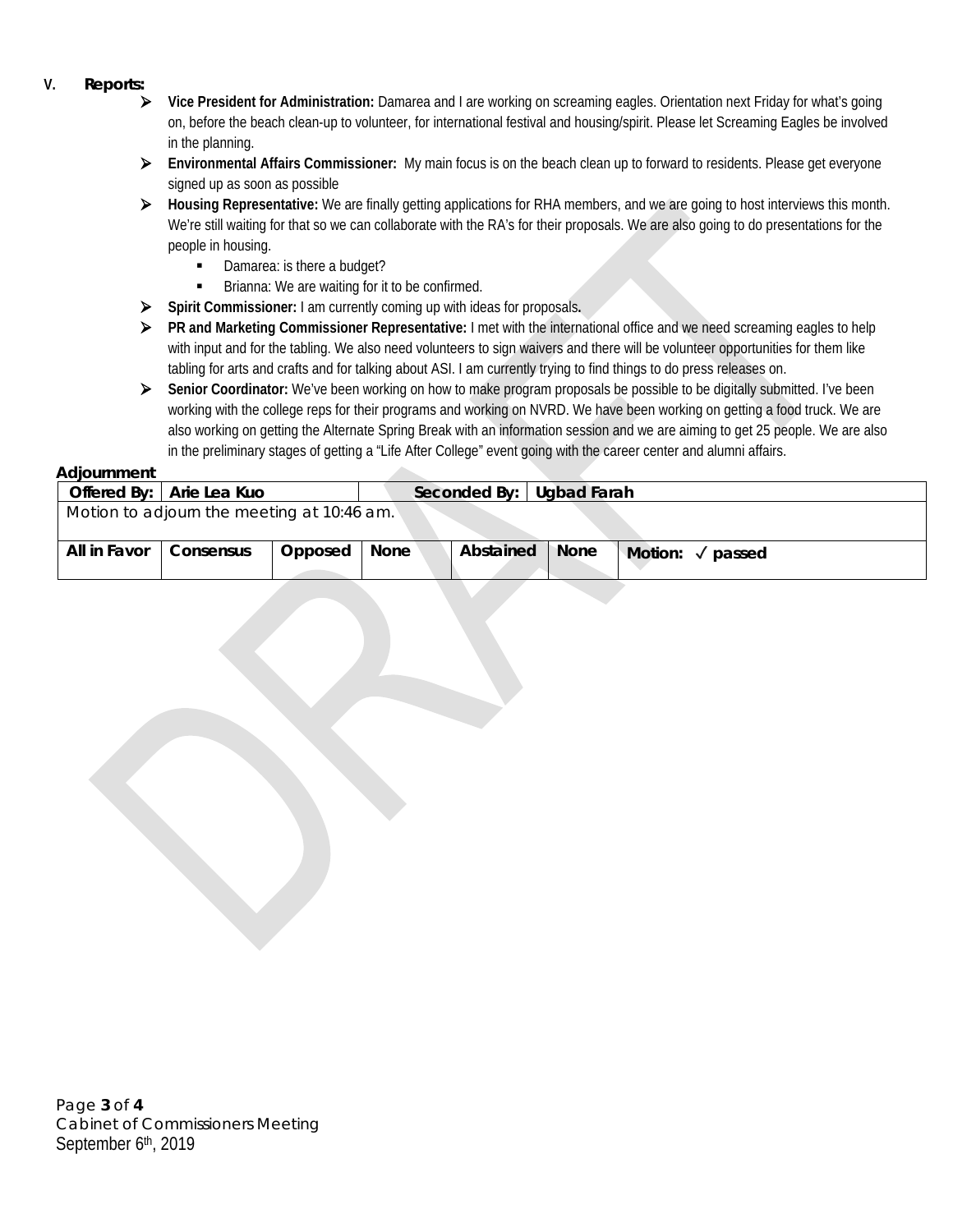- **V. Reports:**
	- **Vice President for Administration:** Damarea and I are working on screaming eagles. Orientation next Friday for what's going on, before the beach clean-up to volunteer, for international festival and housing/spirit. Please let Screaming Eagles be involved in the planning.
	- **Environmental Affairs Commissioner:** My main focus is on the beach clean up to forward to residents. Please get everyone signed up as soon as possible
	- **Housing Representative:** We are finally getting applications for RHA members, and we are going to host interviews this month. We're still waiting for that so we can collaborate with the RA's for their proposals. We are also going to do presentations for the people in housing.
		- Damarea: is there a budget?
		- **Brianna:** We are waiting for it to be confirmed.
	- **Spirit Commissioner:** I am currently coming up with ideas for proposals**.**
	- **PR and Marketing Commissioner Representative:** I met with the international office and we need screaming eagles to help with input and for the tabling. We also need volunteers to sign waivers and there will be volunteer opportunities for them like tabling for arts and crafts and for talking about ASI. I am currently trying to find things to do press releases on.
	- **►** Senior Coordinator: We've been working on how to make program proposals be possible to be digitally submitted. I've been working with the college reps for their programs and working on NVRD. We have been working on getting a food truck. We are also working on getting the Alternate Spring Break with an information session and we are aiming to get 25 people. We are also in the preliminary stages of getting a "Life After College" event going with the career center and alumni affairs.

#### **Adjournment**

| , , , , , , , , , , , , , , , , , , , |                                            |         |      |                          |             |                            |
|---------------------------------------|--------------------------------------------|---------|------|--------------------------|-------------|----------------------------|
|                                       | Offered By:   Arie Lea Kuo                 |         |      | Seconded By: Uqbad Farah |             |                            |
|                                       | Motion to adjourn the meeting at 10:46 am. |         |      |                          |             |                            |
| All in Favor                          | Consensus                                  | Opposed | None | Abstained                | <b>None</b> | Motion: $\sqrt{\ }$ passed |

| Page 3 of 4                             |
|-----------------------------------------|
| <b>Cabinet of Commissioners Meeting</b> |
| September 6th, 2019                     |